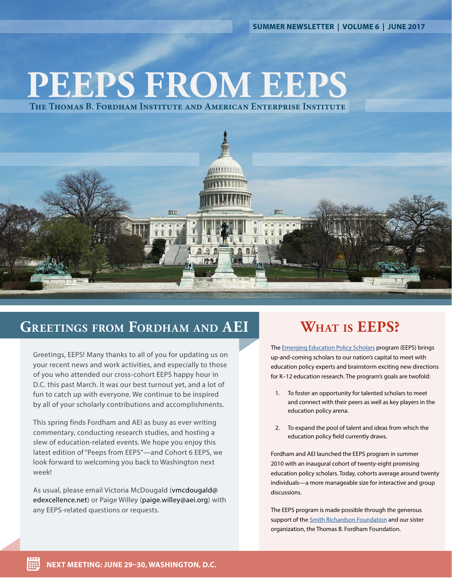**SUMMER NEWSLETTER | VOLUME 6 | JUNE 2017**

# **PEEPS FROM EEPS**

**The Thomas B. Fordham Institute and American Enterprise Institute**



#### **Greetings from Fordham and AEI**

Greetings, EEPS! Many thanks to all of you for updating us on your recent news and work activities, and especially to those of you who attended our cross-cohort EEPS happy hour in D.C. this past March. It was our best turnout yet, and a lot of fun to catch up with everyone. We continue to be inspired by all of your scholarly contributions and accomplishments.

This spring finds Fordham and AEI as busy as ever writing commentary, conducting research studies, and hosting a slew of education-related events. We hope you enjoy this latest edition of "Peeps from EEPS"—and Cohort 6 EEPS, we look forward to welcoming you back to Washington next week!

As usual, please email Victoria McDougald (vmcdougald@ edexcellence.net) or Paige Willey (paige.willey@aei.org) with any EEPS-related questions or requests.

## **What is EEPS?**

The [Emerging Education Policy Scholars](https://edexcellence.net/about-us/emerging-education-policy-scholars-eeps.html) program (EEPS) brings up-and-coming scholars to our nation's capital to meet with education policy experts and brainstorm exciting new directions for K–12 education research. The program's goals are twofold:

- 1. To foster an opportunity for talented scholars to meet and connect with their peers as well as key players in the education policy arena.
- 2. To expand the pool of talent and ideas from which the education policy field currently draws.

Fordham and AEI launched the EEPS program in summer 2010 with an inaugural cohort of twenty-eight promising education policy scholars. Today, cohorts average around twenty individuals—a more manageable size for interactive and group discussions.

The EEPS program is made possible through the generous support of the [Smith Richardson Foundation](https://www.srf.org/) and our sister organization, the Thomas B. Fordham Foundation.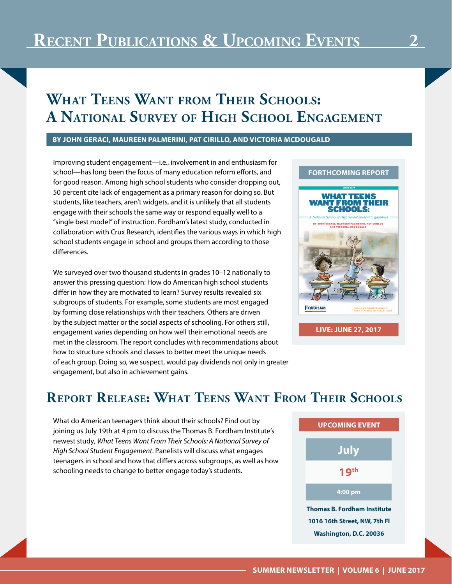# **What Teens Want from Their Schools: A National Survey of High School Engagement**

#### **BY JOHN GERACI, MAUREEN PALMERINI, PAT CIRILLO, AND VICTORIA MCDOUGALD**

Improving student engagement—i.e., involvement in and enthusiasm for school—has long been the focus of many education reform efforts, and for good reason. Among high school students who consider dropping out, 50 percent cite lack of engagement as a primary reason for doing so. But students, like teachers, aren't widgets, and it is unlikely that all students engage with their schools the same way or respond equally well to a "single best model" of instruction. Fordham's latest study, conducted in collaboration with Crux Research, identifies the various ways in which high school students engage in school and groups them according to those differences.

We surveyed over two thousand students in grades 10–12 nationally to answer this pressing question: How do American high school students differ in how they are motivated to learn? Survey results revealed six subgroups of students. For example, some students are most engaged by forming close relationships with their teachers. Others are driven by the subject matter or the social aspects of schooling. For others still, engagement varies depending on how well their emotional needs are met in the classroom. The report concludes with recommendations about how to structure schools and classes to better meet the unique needs of each group. Doing so, we suspect, would pay dividends not only in greater engagement, but also in achievement gains.



#### **Report Release: What Teens Want From Their Schools**

What do American teenagers think about their schools? Find out by joining us July 19th at 4 pm to discuss the Thomas B. Fordham Institute's newest study, *What Teens Want From Their Schools: A National Survey of High School Student Engagement*. Panelists will discuss what engages teenagers in school and how that differs across subgroups, as well as how schooling needs to change to better engage today's students.

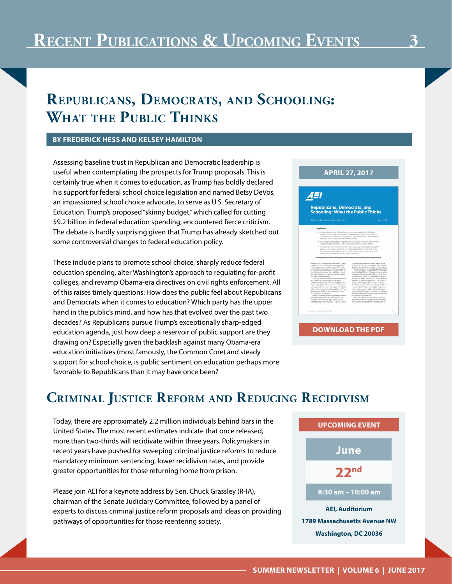## **Republicans, Democrats, and Schooling: What the Public Thinks**

#### **BY FREDERICK HESS AND KELSEY HAMILTON**

Assessing baseline trust in Republican and Democratic leadership is useful when contemplating the prospects for Trump proposals. This is certainly true when it comes to education, as Trump has boldly declared his support for federal school choice legislation and named Betsy DeVos, an impassioned school choice advocate, to serve as U.S. Secretary of Education. Trump's proposed "skinny budget," which called for cutting \$9.2 billion in federal education spending, encountered fierce criticism. The debate is hardly surprising given that Trump has already sketched out some controversial changes to federal education policy.

These include plans to promote school choice, sharply reduce federal education spending, alter Washington's approach to regulating for-profit colleges, and revamp Obama-era directives on civil rights enforcement. All of this raises timely questions: How does the public feel about Republicans and Democrats when it comes to education? Which party has the upper hand in the public's mind, and how has that evolved over the past two decades? As Republicans pursue Trump's exceptionally sharp-edged education agenda, just how deep a reservoir of public support are they drawing on? Especially given the backlash against many Obama-era education initiatives (most famously, the Common Core) and steady support for school choice, is public sentiment on education perhaps more favorable to Republicans than it may have once been?



#### **Criminal Justice Reform and Reducing Recidivism**

Today, there are approximately 2.2 million individuals behind bars in the United States. The most recent estimates indicate that once released, more than two-thirds will recidivate within three years. Policymakers in recent years have pushed for sweeping criminal justice reforms to reduce mandatory minimum sentencing, lower recidivism rates, and provide greater opportunities for those returning home from prison.

Please join AEI for a keynote address by Sen. Chuck Grassley (R-IA), chairman of the Senate Judiciary Committee, followed by a panel of experts to discuss criminal justice reform proposals and ideas on providing pathways of opportunities for those reentering society.

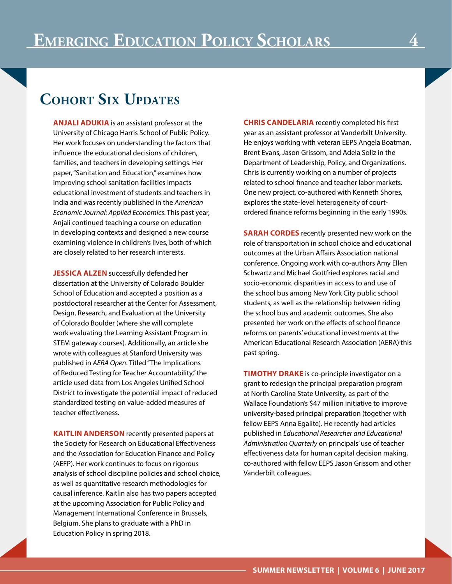#### **Cohort Six Updates**

**ANJALI ADUKIA** is an assistant professor at the University of Chicago Harris School of Public Policy. Her work focuses on understanding the factors that influence the educational decisions of children, families, and teachers in developing settings. Her paper, "Sanitation and Education," examines how improving school sanitation facilities impacts educational investment of students and teachers in India and was recently published in the *American Economic Journal: Applied Economics*. This past year, Anjali continued teaching a course on education in developing contexts and designed a new course examining violence in children's lives, both of which are closely related to her research interests.

**JESSICA ALZEN** successfully defended her dissertation at the University of Colorado Boulder School of Education and accepted a position as a postdoctoral researcher at the Center for Assessment, Design, Research, and Evaluation at the University of Colorado Boulder (where she will complete work evaluating the Learning Assistant Program in STEM gateway courses). Additionally, an article she wrote with colleagues at Stanford University was published in *AERA Open*. Titled "The Implications of Reduced Testing for Teacher Accountability," the article used data from Los Angeles Unified School District to investigate the potential impact of reduced standardized testing on value-added measures of teacher effectiveness.

**KAITLIN ANDERSON** recently presented papers at the Society for Research on Educational Effectiveness and the Association for Education Finance and Policy (AEFP). Her work continues to focus on rigorous analysis of school discipline policies and school choice, as well as quantitative research methodologies for causal inference. Kaitlin also has two papers accepted at the upcoming Association for Public Policy and Management International Conference in Brussels, Belgium. She plans to graduate with a PhD in Education Policy in spring 2018.

**CHRIS CANDELARIA** recently completed his first year as an assistant professor at Vanderbilt University. He enjoys working with veteran EEPS Angela Boatman, Brent Evans, Jason Grissom, and Adela Soliz in the Department of Leadership, Policy, and Organizations. Chris is currently working on a number of projects related to school finance and teacher labor markets. One new project, co-authored with Kenneth Shores, explores the state-level heterogeneity of courtordered finance reforms beginning in the early 1990s.

**SARAH CORDES** recently presented new work on the role of transportation in school choice and educational outcomes at the Urban Affairs Association national conference. Ongoing work with co-authors Amy Ellen Schwartz and Michael Gottfried explores racial and socio-economic disparities in access to and use of the school bus among New York City public school students, as well as the relationship between riding the school bus and academic outcomes. She also presented her work on the effects of school finance reforms on parents' educational investments at the American Educational Research Association (AERA) this past spring.

**TIMOTHY DRAKE** is co-principle investigator on a grant to redesign the principal preparation program at North Carolina State University, as part of the Wallace Foundation's \$47 million initiative to improve university-based principal preparation (together with fellow EEPS Anna Egalite). He recently had articles published in *Educational Researcher and Educational Administration Quarterly* on principals' use of teacher effectiveness data for human capital decision making, co-authored with fellow EEPS Jason Grissom and other Vanderbilt colleagues.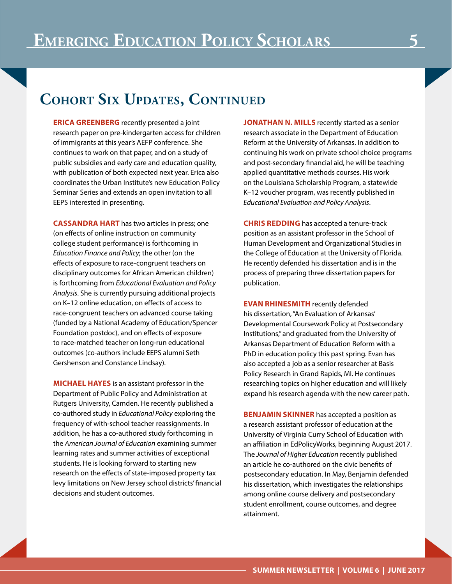## **Cohort Six Updates, Continued**

**ERICA GREENBERG** recently presented a joint research paper on pre-kindergarten access for children of immigrants at this year's AEFP conference. She continues to work on that paper, and on a study of public subsidies and early care and education quality, with publication of both expected next year. Erica also coordinates the Urban Institute's new Education Policy Seminar Series and extends an open invitation to all EEPS interested in presenting.

**CASSANDRA HART** has two articles in press; one (on effects of online instruction on community college student performance) is forthcoming in *Education Finance and Policy*; the other (on the effects of exposure to race-congruent teachers on disciplinary outcomes for African American children) is forthcoming from *Educational Evaluation and Policy Analysis*. She is currently pursuing additional projects on K–12 online education, on effects of access to race-congruent teachers on advanced course taking (funded by a National Academy of Education/Spencer Foundation postdoc), and on effects of exposure to race-matched teacher on long-run educational outcomes (co-authors include EEPS alumni Seth Gershenson and Constance Lindsay).

**MICHAEL HAYES** is an assistant professor in the Department of Public Policy and Administration at Rutgers University, Camden. He recently published a co-authored study in *Educational Policy* exploring the frequency of with-school teacher reassignments. In addition, he has a co-authored study forthcoming in the *American Journal of Education* examining summer learning rates and summer activities of exceptional students. He is looking forward to starting new research on the effects of state-imposed property tax levy limitations on New Jersey school districts' financial decisions and student outcomes.

**JONATHAN N. MILLS** recently started as a senior research associate in the Department of Education Reform at the University of Arkansas. In addition to continuing his work on private school choice programs and post-secondary financial aid, he will be teaching applied quantitative methods courses. His work on the Louisiana Scholarship Program, a statewide K–12 voucher program, was recently published in *Educational Evaluation and Policy Analysis*.

**CHRIS REDDING** has accepted a tenure-track position as an assistant professor in the School of Human Development and Organizational Studies in the College of Education at the University of Florida. He recently defended his dissertation and is in the process of preparing three dissertation papers for publication.

**EVAN RHINESMITH** recently defended his dissertation, "An Evaluation of Arkansas' Developmental Coursework Policy at Postsecondary Institutions," and graduated from the University of Arkansas Department of Education Reform with a PhD in education policy this past spring. Evan has also accepted a job as a senior researcher at Basis Policy Research in Grand Rapids, MI. He continues researching topics on higher education and will likely expand his research agenda with the new career path.

**BENJAMIN SKINNER** has accepted a position as a research assistant professor of education at the University of Virginia Curry School of Education with an affiliation in EdPolicyWorks, beginning August 2017. The *Journal of Higher Education* recently published an article he co-authored on the civic benefits of postsecondary education. In May, Benjamin defended his dissertation, which investigates the relationships among online course delivery and postsecondary student enrollment, course outcomes, and degree attainment.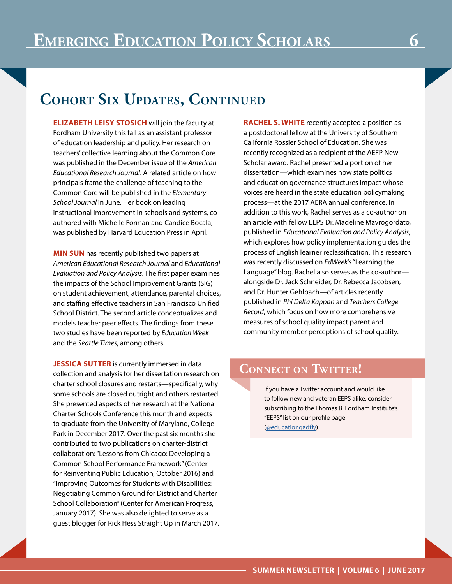# **Cohort Six Updates, Continued**

**ELIZABETH LEISY STOSICH** will join the faculty at Fordham University this fall as an assistant professor of education leadership and policy. Her research on teachers' collective learning about the Common Core was published in the December issue of the *American Educational Research Journal*. A related article on how principals frame the challenge of teaching to the Common Core will be published in the *Elementary School Journal* in June. Her book on leading instructional improvement in schools and systems, coauthored with Michelle Forman and Candice Bocala, was published by Harvard Education Press in April.

**MIN SUN** has recently published two papers at *American Educational Research Journal* and *Educational Evaluation and Policy Analysis*. The first paper examines the impacts of the School Improvement Grants (SIG) on student achievement, attendance, parental choices, and staffing effective teachers in San Francisco Unified School District. The second article conceptualizes and models teacher peer effects. The findings from these two studies have been reported by *Education Week*  and the *Seattle Times*, among others.

**JESSICA SUTTER** is currently immersed in data collection and analysis for her dissertation research on charter school closures and restarts—specifically, why some schools are closed outright and others restarted. She presented aspects of her research at the National Charter Schools Conference this month and expects to graduate from the University of Maryland, College Park in December 2017. Over the past six months she contributed to two publications on charter-district collaboration: "Lessons from Chicago: Developing a Common School Performance Framework" (Center for Reinventing Public Education, October 2016) and "Improving Outcomes for Students with Disabilities: Negotiating Common Ground for District and Charter School Collaboration" (Center for American Progress, January 2017). She was also delighted to serve as a guest blogger for Rick Hess Straight Up in March 2017. **RACHEL S. WHITE** recently accepted a position as a postdoctoral fellow at the University of Southern California Rossier School of Education. She was recently recognized as a recipient of the AEFP New Scholar award. Rachel presented a portion of her dissertation—which examines how state politics and education governance structures impact whose voices are heard in the state education policymaking process—at the 2017 AERA annual conference. In addition to this work, Rachel serves as a co-author on an article with fellow EEPS Dr. Madeline Mavrogordato, published in *Educational Evaluation and Policy Analysis*, which explores how policy implementation guides the process of English learner reclassification. This research was recently discussed on *EdWeek*'s "Learning the Language" blog. Rachel also serves as the co-author alongside Dr. Jack Schneider, Dr. Rebecca Jacobsen, and Dr. Hunter Gehlbach—of articles recently published in *Phi Delta Kappan* and *Teachers College Record*, which focus on how more comprehensive measures of school quality impact parent and community member perceptions of school quality.

#### **Connect on Twitter!**

If you have a Twitter account and would like to follow new and veteran EEPS alike, consider subscribing to the Thomas B. Fordham Institute's "EEPS" list on our profile page ([@educationgadfly](https://twitter.com/educationgadfly)).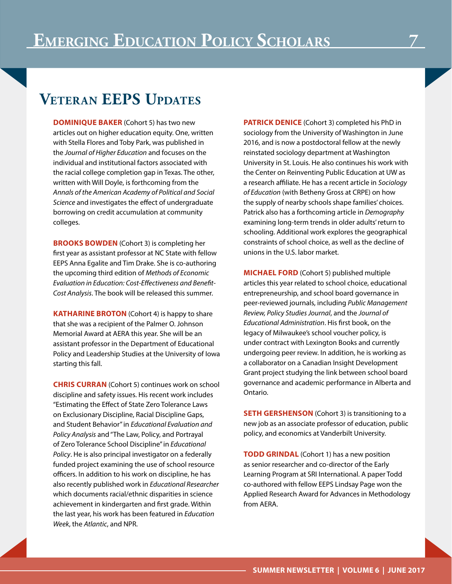#### **Veteran EEPS Updates**

**DOMINIQUE BAKER** (Cohort 5) has two new articles out on higher education equity. One, written with Stella Flores and Toby Park, was published in the *Journal of Higher Education* and focuses on the individual and institutional factors associated with the racial college completion gap in Texas. The other, written with Will Doyle, is forthcoming from the *Annals of the American Academy of Political and Social Science* and investigates the effect of undergraduate borrowing on credit accumulation at community colleges.

**BROOKS BOWDEN** (Cohort 3) is completing her first year as assistant professor at NC State with fellow EEPS Anna Egalite and Tim Drake. She is co-authoring the upcoming third edition of *Methods of Economic Evaluation in Education: Cost-Effectiveness and Benefit-Cost Analysis*. The book will be released this summer.

**KATHARINE BROTON** (Cohort 4) is happy to share that she was a recipient of the Palmer O. Johnson Memorial Award at AERA this year. She will be an assistant professor in the Department of Educational Policy and Leadership Studies at the University of Iowa starting this fall.

**CHRIS CURRAN** (Cohort 5) continues work on school discipline and safety issues. His recent work includes "Estimating the Effect of State Zero Tolerance Laws on Exclusionary Discipline, Racial Discipline Gaps, and Student Behavior" in *Educational Evaluation and Policy Analysis* and "The Law, Policy, and Portrayal of Zero Tolerance School Discipline" in *Educational Policy*. He is also principal investigator on a federally funded project examining the use of school resource officers. In addition to his work on discipline, he has also recently published work in *Educational Researcher*  which documents racial/ethnic disparities in science achievement in kindergarten and first grade. Within the last year, his work has been featured in *Education Week*, the *Atlantic*, and NPR.

**PATRICK DENICE** (Cohort 3) completed his PhD in sociology from the University of Washington in June 2016, and is now a postdoctoral fellow at the newly reinstated sociology department at Washington University in St. Louis. He also continues his work with the Center on Reinventing Public Education at UW as a research affiliate. He has a recent article in *Sociology of Education* (with Betheny Gross at CRPE) on how the supply of nearby schools shape families' choices. Patrick also has a forthcoming article in *Demography* examining long-term trends in older adults' return to schooling. Additional work explores the geographical constraints of school choice, as well as the decline of unions in the U.S. labor market.

**MICHAEL FORD** (Cohort 5) published multiple articles this year related to school choice, educational entrepreneurship, and school board governance in peer-reviewed journals, including *Public Management Review, Policy Studies Journal*, and the *Journal of Educational Administration*. His first book, on the legacy of Milwaukee's school voucher policy, is under contract with Lexington Books and currently undergoing peer review. In addition, he is working as a collaborator on a Canadian Insight Development Grant project studying the link between school board governance and academic performance in Alberta and Ontario.

**SETH GERSHENSON** (Cohort 3) is transitioning to a new job as an associate professor of education, public policy, and economics at Vanderbilt University.

**TODD GRINDAL** (Cohort 1) has a new position as senior researcher and co-director of the Early Learning Program at SRI International. A paper Todd co-authored with fellow EEPS Lindsay Page won the Applied Research Award for Advances in Methodology from AERA.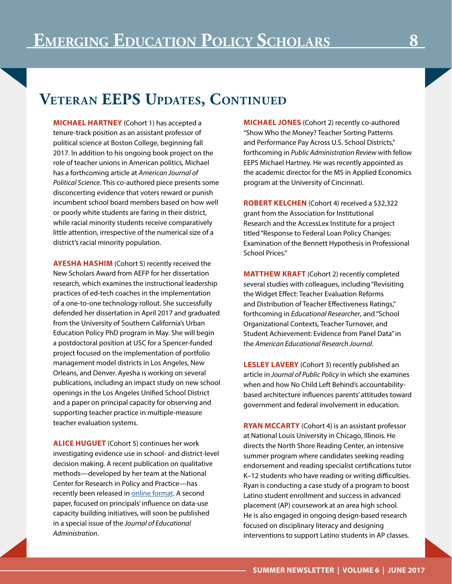## **Veteran EEPS Updates, Continued**

**MICHAEL HARTNEY** (Cohort 1) has accepted a tenure-track position as an assistant professor of political science at Boston College, beginning fall 2017. In addition to his ongoing book project on the role of teacher unions in American politics, Michael has a forthcoming article at *American Journal of Political Science*. This co-authored piece presents some disconcerting evidence that voters reward or punish incumbent school board members based on how well or poorly white students are faring in their district, while racial minority students receive comparatively little attention, irrespective of the numerical size of a district's racial minority population.

**AYESHA HASHIM** (Cohort 5) recently received the New Scholars Award from AEFP for her dissertation research, which examines the instructional leadership practices of ed-tech coaches in the implementation of a one-to-one technology rollout. She successfully defended her dissertation in April 2017 and graduated from the University of Southern California's Urban Education Policy PhD program in May. She will begin a postdoctoral position at USC for a Spencer-funded project focused on the implementation of portfolio management model districts in Los Angeles, New Orleans, and Denver. Ayesha is working on several publications, including an impact study on new school openings in the Los Angeles Unified School District and a paper on principal capacity for observing and supporting teacher practice in multiple-measure teacher evaluation systems.

**ALICE HUGUET** (Cohort 5) continues her work investigating evidence use in school- and district-level decision making. A recent publication on qualitative methods—developed by her team at the National Center for Research in Policy and Practice—has recently been released in **online format**. A second paper, focused on principals' influence on data-use capacity building initiatives, will soon be published in a special issue of the *Journal of Educational Administration*.

**MICHAEL JONES** (Cohort 2) recently co-authored "Show Who the Money? Teacher Sorting Patterns and Performance Pay Across U.S. School Districts," forthcoming in *Public Administration Review* with fellow EEPS Michael Hartney. He was recently appointed as the academic director for the MS in Applied Economics program at the University of Cincinnati.

**ROBERT KELCHEN** (Cohort 4) received a \$32,322 grant from the Association for Institutional Research and the AccessLex Institute for a project titled "Response to Federal Loan Policy Changes: Examination of the Bennett Hypothesis in Professional School Prices."

**MATTHEW KRAFT** (Cohort 2) recently completed several studies with colleagues, including "Revisiting the Widget Effect: Teacher Evaluation Reforms and Distribution of Teacher Effectiveness Ratings," forthcoming in *Educational Researcher*, and "School Organizational Contexts, Teacher Turnover, and Student Achievement: Evidence from Panel Data" in the *American Educational Research Journal*.

**LESLEY LAVERY** (Cohort 3) recently published an article in *Journal of Public Policy* in which she examines when and how No Child Left Behind's accountabilitybased architecture influences parents' attitudes toward government and federal involvement in education.

**RYAN MCCARTY** (Cohort 4) is an assistant professor at National Louis University in Chicago, Illinois. He directs the North Shore Reading Center, an intensive summer program where candidates seeking reading endorsement and reading specialist certifications tutor K–12 students who have reading or writing difficulties. Ryan is conducting a case study of a program to boost Latino student enrollment and success in advanced placement (AP) coursework at an area high school. He is also engaged in ongoing design-based research focused on disciplinary literacy and designing interventions to support Latino students in AP classes.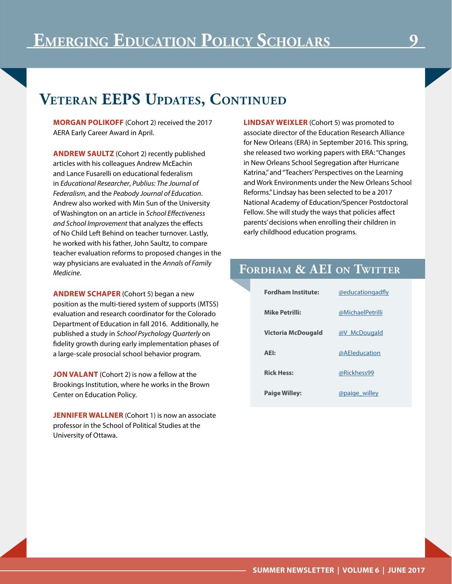## **Veteran EEPS Updates, Continued**

**MORGAN POLIKOFF** (Cohort 2) received the 2017 AERA Early Career Award in April.

**ANDREW SAULTZ** (Cohort 2) recently published articles with his colleagues Andrew McEachin and Lance Fusarelli on educational federalism in *Educational Researcher*, *Publius: The Journal of Federalism*, and the *Peabody Journal of Education*. Andrew also worked with Min Sun of the University of Washington on an article in *School Effectiveness and School Improvement* that analyzes the effects of No Child Left Behind on teacher turnover. Lastly, he worked with his father, John Saultz, to compare teacher evaluation reforms to proposed changes in the way physicians are evaluated in the *Annals of Family Medicine*.

**ANDREW SCHAPER** (Cohort 5) began a new position as the multi-tiered system of supports (MTSS) evaluation and research coordinator for the Colorado Department of Education in fall 2016. Additionally, he published a study in *School Psychology Quarterly* on fidelity growth during early implementation phases of a large-scale prosocial school behavior program.

**JON VALANT** (Cohort 2) is now a fellow at the Brookings Institution, where he works in the Brown Center on Education Policy.

**JENNIFER WALLNER** (Cohort 1) is now an associate professor in the School of Political Studies at the University of Ottawa.

**LINDSAY WEIXLER** (Cohort 5) was promoted to associate director of the Education Research Alliance for New Orleans (ERA) in September 2016. This spring, she released two working papers with ERA: "Changes in New Orleans School Segregation after Hurricane Katrina," and "Teachers' Perspectives on the Learning and Work Environments under the New Orleans School Reforms." Lindsay has been selected to be a 2017 National Academy of Education/Spencer Postdoctoral Fellow. She will study the ways that policies affect parents' decisions when enrolling their children in early childhood education programs.

#### **Fordham & AEI on Twitter**

| <b>Fordham Institute:</b> | @educationgadfly |
|---------------------------|------------------|
| <b>Mike Petrilli:</b>     | @MichaelPetrilli |
| Victoria McDougald        | @V McDougald     |
| AEI:                      | @AEleducation    |
| <b>Rick Hess:</b>         | @Rickhess99      |
| <b>Paige Willey:</b>      | @paige willey    |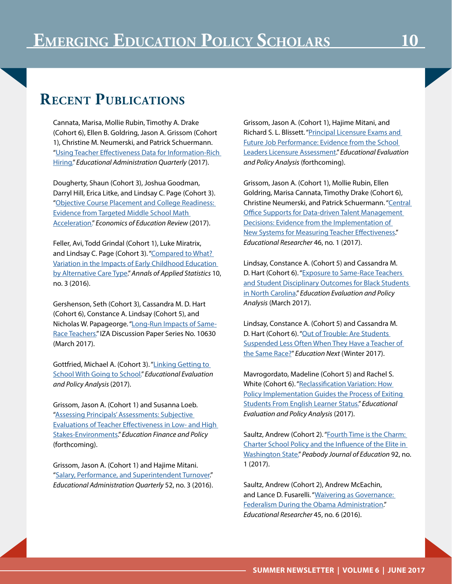#### **Recent Publications**

Cannata, Marisa, Mollie Rubin, Timothy A. Drake (Cohort 6), Ellen B. Goldring, Jason A. Grissom (Cohort 1), Christine M. Neumerski, and Patrick Schuermann. "[Using Teacher Effectiveness Data for Information-Rich](https://my.vanderbilt.edu/marisacannata/files/2016/04/Data-use-in-hiring-Revised2-0021816-clean.pdf)  [Hiring."](https://my.vanderbilt.edu/marisacannata/files/2016/04/Data-use-in-hiring-Revised2-0021816-clean.pdf) *Educational Administration Quarterly* (2017).

Dougherty, Shaun (Cohort 3), Joshua Goodman, Darryl Hill, Erica Litke, and Lindsay C. Page (Cohort 3). ["Objective Course Placement and College Readiness:](http://www.sciencedirect.com/science/article/pii/S0272775716305465)  [Evidence from Targeted Middle School Math](http://www.sciencedirect.com/science/article/pii/S0272775716305465)  [Acceleration."](http://www.sciencedirect.com/science/article/pii/S0272775716305465) *Economics of Education Review* (2017).

Feller, Avi, Todd Grindal (Cohort 1), Luke Miratrix, and Lindsay C. Page (Cohort 3). "Compared to What? [Variation in the Impacts of Early Childhood Education](https://pdfs.semanticscholar.org/5615/174d7bb974cad9d7c5140136d5dc4c77d94d.pdf)  [by Alternative Care Type.](https://pdfs.semanticscholar.org/5615/174d7bb974cad9d7c5140136d5dc4c77d94d.pdf)" *Annals of Applied Statistics* 10, no. 3 (2016).

Gershenson, Seth (Cohort 3), Cassandra M. D. Hart (Cohort 6), Constance A. Lindsay (Cohort 5), and Nicholas W. Papageorge. "[Long-Run Impacts of Same-](http://ftp.iza.org/dp10630.pdf)[Race Teachers."](http://ftp.iza.org/dp10630.pdf) IZA Discussion Paper Series No. 10630 (March 2017).

Gottfried, Michael A. (Cohort 3). "[Linking Getting to](http://journals.sagepub.com/doi/pdf/10.3102/0162373717699472)  [School With Going to School.](http://journals.sagepub.com/doi/pdf/10.3102/0162373717699472)" *Educational Evaluation and Policy Analysis* (2017).

Grissom, Jason A. (Cohort 1) and Susanna Loeb. ["Assessing Principals' Assessments: Subjective](https://my.vanderbilt.edu/jasongrissom/files/2012/05/assessing_forthcoming.pdf)  [Evaluations of Teacher Effectiveness in Low- and High](https://my.vanderbilt.edu/jasongrissom/files/2012/05/assessing_forthcoming.pdf)  [Stakes-Environments](https://my.vanderbilt.edu/jasongrissom/files/2012/05/assessing_forthcoming.pdf)." *Education Finance and Policy*  (forthcoming).

Grissom, Jason A. (Cohort 1) and Hajime Mitani. "[Salary, Performance, and Superintendent Turnover](http://journals.sagepub.com/doi/pdf/10.1177/0013161X15627677)." *Educational Administration Quarterly* 52, no. 3 (2016). Grissom, Jason A. (Cohort 1), Hajime Mitani, and Richard S. L. Blissett. ["Principal Licensure Exams and](https://s3.amazonaws.com/vu-news/files/20170306133237/Jason-Grissom-SLLA.pdf)  [Future Job Performance: Evidence from the School](https://s3.amazonaws.com/vu-news/files/20170306133237/Jason-Grissom-SLLA.pdf)  [Leaders Licensure Assessment](https://s3.amazonaws.com/vu-news/files/20170306133237/Jason-Grissom-SLLA.pdf)." *Educational Evaluation and Policy Analysis* (forthcoming).

Grissom, Jason A. (Cohort 1), Mollie Rubin, Ellen Goldring, Marisa Cannata, Timothy Drake (Cohort 6), Christine Neumerski, and Patrick Schuermann. "Central [Office Supports for Data-driven Talent Management](http://journals.sagepub.com/doi/pdf/10.3102/0013189X17694164)  [Decisions: Evidence from the Implementation of](http://journals.sagepub.com/doi/pdf/10.3102/0013189X17694164)  [New Systems for Measuring Teacher Effectiveness](http://journals.sagepub.com/doi/pdf/10.3102/0013189X17694164)." *Educational Researcher* 46, no. 1 (2017).

Lindsay, Constance A. (Cohort 5) and Cassandra M. D. Hart (Cohort 6). "[Exposure to Same-Race Teachers](http://journals.sagepub.com/doi/abs/10.3102/0162373717693109)  and Student Disciplinary Outcomes for Black Students [in North Carolina.](http://journals.sagepub.com/doi/abs/10.3102/0162373717693109)" *Education Evaluation and Policy Analysis* (March 2017).

Lindsay, Constance A. (Cohort 5) and Cassandra M. D. Hart (Cohort 6). ["Out of Trouble: Are Students](http://educationnext.org/teacher-race-and-school-discipline-suspensions-research/)  [Suspended Less Often When They Have a Teacher of](http://educationnext.org/teacher-race-and-school-discipline-suspensions-research/)  [the Same Race?](http://educationnext.org/teacher-race-and-school-discipline-suspensions-research/)" *Education Next* (Winter 2017).

Mavrogordato, Madeline (Cohort 5) and Rachel S. White (Cohort 6). "Reclassification Variation: How [Policy Implementation Guides the Process of Exiting](http://journals.sagepub.com/doi/abs/10.3102/0162373716687075)  [Students From English Learner Status."](http://journals.sagepub.com/doi/abs/10.3102/0162373716687075) *Educational Evaluation and Policy Analysis* (2017).

Saultz, Andrew (Cohort 2). "Fourth Time is the Charm: [Charter School Policy and the Influence of the Elite in](http://www.tandfonline.com/doi/abs/10.1080/0161956X.2016.1264809?journalCode=hpje20)  [Washington State.](http://www.tandfonline.com/doi/abs/10.1080/0161956X.2016.1264809?journalCode=hpje20)" *Peabody Journal of Education* 92, no. 1 (2017).

Saultz, Andrew (Cohort 2), Andrew McEachin, and Lance D. Fusarelli. "Waivering as Governance: [Federalism During the Obama Administration](http://journals.sagepub.com/doi/pdf/10.3102/0013189X16663495)." *Educational Researcher* 45, no. 6 (2016).